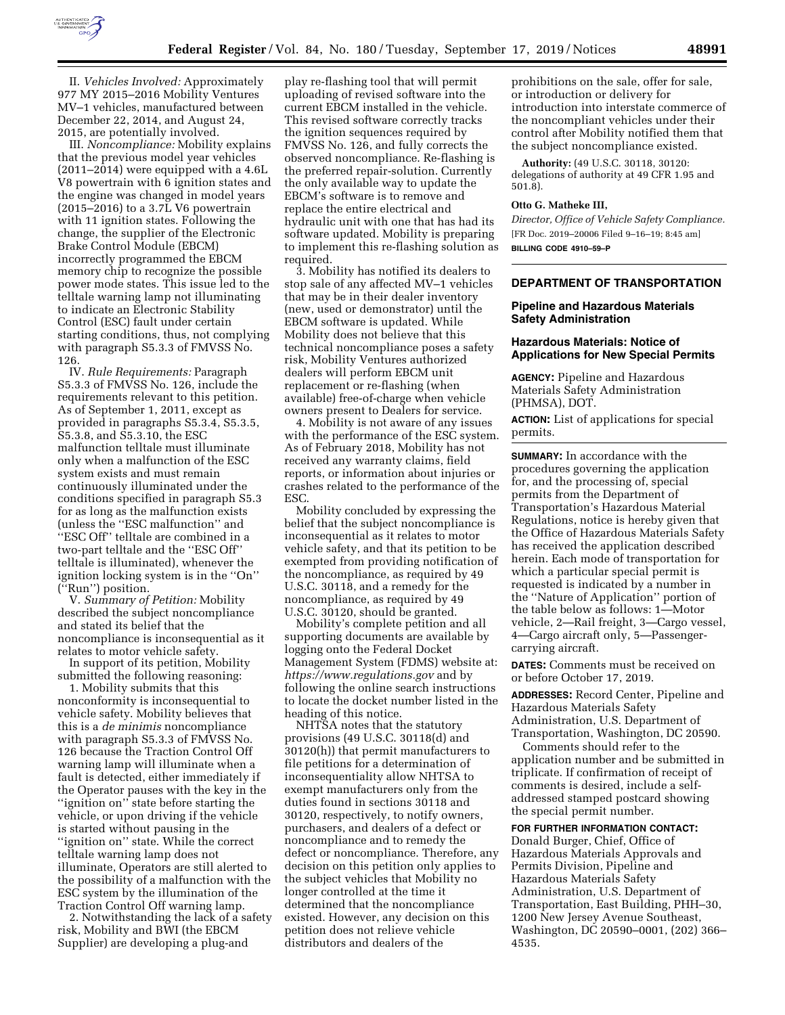

II. *Vehicles Involved:* Approximately 977 MY 2015–2016 Mobility Ventures MV–1 vehicles, manufactured between December 22, 2014, and August 24, 2015, are potentially involved.

III. *Noncompliance:* Mobility explains that the previous model year vehicles (2011–2014) were equipped with a 4.6L V8 powertrain with 6 ignition states and the engine was changed in model years (2015–2016) to a 3.7L V6 powertrain with 11 ignition states. Following the change, the supplier of the Electronic Brake Control Module (EBCM) incorrectly programmed the EBCM memory chip to recognize the possible power mode states. This issue led to the telltale warning lamp not illuminating to indicate an Electronic Stability Control (ESC) fault under certain starting conditions, thus, not complying with paragraph S5.3.3 of FMVSS No. 126.

IV. *Rule Requirements:* Paragraph S5.3.3 of FMVSS No. 126, include the requirements relevant to this petition. As of September 1, 2011, except as provided in paragraphs S5.3.4, S5.3.5, S5.3.8, and S5.3.10, the ESC malfunction telltale must illuminate only when a malfunction of the ESC system exists and must remain continuously illuminated under the conditions specified in paragraph S5.3 for as long as the malfunction exists (unless the ''ESC malfunction'' and ''ESC Off'' telltale are combined in a two-part telltale and the ''ESC Off'' telltale is illuminated), whenever the ignition locking system is in the ''On'' (''Run'') position.

V. *Summary of Petition:* Mobility described the subject noncompliance and stated its belief that the noncompliance is inconsequential as it relates to motor vehicle safety.

In support of its petition, Mobility submitted the following reasoning:

1. Mobility submits that this nonconformity is inconsequential to vehicle safety. Mobility believes that this is a *de minimis* noncompliance with paragraph S5.3.3 of FMVSS No. 126 because the Traction Control Off warning lamp will illuminate when a fault is detected, either immediately if the Operator pauses with the key in the ''ignition on'' state before starting the vehicle, or upon driving if the vehicle is started without pausing in the ''ignition on'' state. While the correct telltale warning lamp does not illuminate, Operators are still alerted to the possibility of a malfunction with the ESC system by the illumination of the Traction Control Off warning lamp.

2. Notwithstanding the lack of a safety risk, Mobility and BWI (the EBCM Supplier) are developing a plug-and

play re-flashing tool that will permit uploading of revised software into the current EBCM installed in the vehicle. This revised software correctly tracks the ignition sequences required by FMVSS No. 126, and fully corrects the observed noncompliance. Re-flashing is the preferred repair-solution. Currently the only available way to update the EBCM's software is to remove and replace the entire electrical and hydraulic unit with one that has had its software updated. Mobility is preparing to implement this re-flashing solution as required.

3. Mobility has notified its dealers to stop sale of any affected MV–1 vehicles that may be in their dealer inventory (new, used or demonstrator) until the EBCM software is updated. While Mobility does not believe that this technical noncompliance poses a safety risk, Mobility Ventures authorized dealers will perform EBCM unit replacement or re-flashing (when available) free-of-charge when vehicle owners present to Dealers for service.

4. Mobility is not aware of any issues with the performance of the ESC system. As of February 2018, Mobility has not received any warranty claims, field reports, or information about injuries or crashes related to the performance of the ESC.

Mobility concluded by expressing the belief that the subject noncompliance is inconsequential as it relates to motor vehicle safety, and that its petition to be exempted from providing notification of the noncompliance, as required by 49 U.S.C. 30118, and a remedy for the noncompliance, as required by 49 U.S.C. 30120, should be granted.

Mobility's complete petition and all supporting documents are available by logging onto the Federal Docket Management System (FDMS) website at: *<https://www.regulations.gov>* and by following the online search instructions to locate the docket number listed in the heading of this notice.

NHTSA notes that the statutory provisions (49 U.S.C. 30118(d) and 30120(h)) that permit manufacturers to file petitions for a determination of inconsequentiality allow NHTSA to exempt manufacturers only from the duties found in sections 30118 and 30120, respectively, to notify owners, purchasers, and dealers of a defect or noncompliance and to remedy the defect or noncompliance. Therefore, any decision on this petition only applies to the subject vehicles that Mobility no longer controlled at the time it determined that the noncompliance existed. However, any decision on this petition does not relieve vehicle distributors and dealers of the

prohibitions on the sale, offer for sale, or introduction or delivery for introduction into interstate commerce of the noncompliant vehicles under their control after Mobility notified them that the subject noncompliance existed.

**Authority:** (49 U.S.C. 30118, 30120: delegations of authority at 49 CFR 1.95 and 501.8).

#### **Otto G. Matheke III,**

*Director, Office of Vehicle Safety Compliance.*  [FR Doc. 2019–20006 Filed 9–16–19; 8:45 am] **BILLING CODE 4910–59–P** 

## **DEPARTMENT OF TRANSPORTATION**

#### **Pipeline and Hazardous Materials Safety Administration**

#### **Hazardous Materials: Notice of Applications for New Special Permits**

**AGENCY:** Pipeline and Hazardous Materials Safety Administration (PHMSA), DOT.

**ACTION:** List of applications for special permits.

**SUMMARY:** In accordance with the procedures governing the application for, and the processing of, special permits from the Department of Transportation's Hazardous Material Regulations, notice is hereby given that the Office of Hazardous Materials Safety has received the application described herein. Each mode of transportation for which a particular special permit is requested is indicated by a number in the ''Nature of Application'' portion of the table below as follows: 1—Motor vehicle, 2—Rail freight, 3—Cargo vessel, 4—Cargo aircraft only, 5—Passengercarrying aircraft.

**DATES:** Comments must be received on or before October 17, 2019.

**ADDRESSES:** Record Center, Pipeline and Hazardous Materials Safety Administration, U.S. Department of Transportation, Washington, DC 20590.

Comments should refer to the application number and be submitted in triplicate. If confirmation of receipt of comments is desired, include a selfaddressed stamped postcard showing the special permit number.

### **FOR FURTHER INFORMATION CONTACT:**

Donald Burger, Chief, Office of Hazardous Materials Approvals and Permits Division, Pipeline and Hazardous Materials Safety Administration, U.S. Department of Transportation, East Building, PHH–30, 1200 New Jersey Avenue Southeast, Washington, DC 20590–0001, (202) 366– 4535.